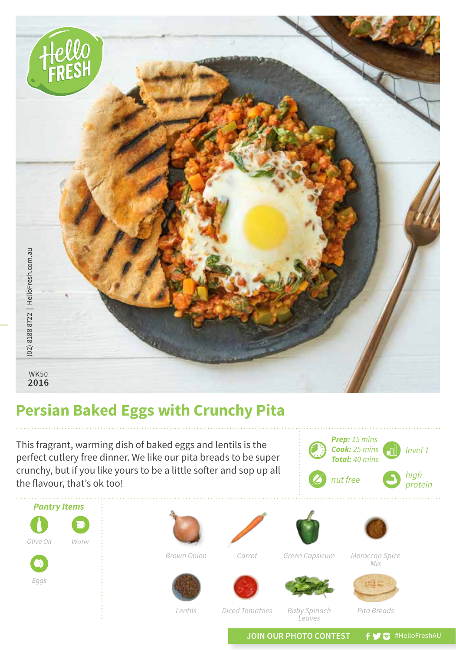

## **Persian Baked Eggs with Crunchy Pita**

**level 1** This fragrant, warming dish of baked eggs and lentils is the **Cook:** 25 mins **Cook:** 25 mins **Cook:** 25 mins perfect cutlery free dinner. We like our pita breads to be super crunchy, but if you like yours to be a little softer and sop up all the flavour, that's ok too!





*Lentils Baby Spinach Diced Tomatoes Pita Breads Leaves*

JOIN OUR PHOTO CONTEST **f y** a #HelloFreshAU